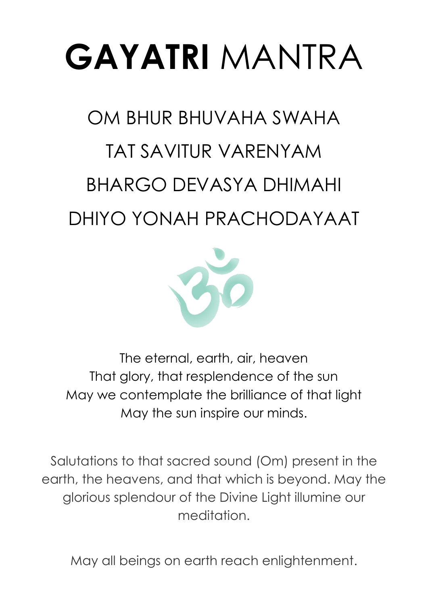# **GAYATRI** MANTRA

# OM BHUR BHUVAHA SWAHA TAT SAVITUR VARENYAM BHARGO DEVASYA DHIMAHI DHIYO YONAH PRACHODAYAAT



The eternal, earth, air, heaven That glory, that resplendence of the sun May we contemplate the brilliance of that light May the sun inspire our minds.

Salutations to that sacred sound (Om) present in the earth, the heavens, and that which is beyond. May the glorious splendour of the Divine Light illumine our meditation.

May all beings on earth reach enlightenment.